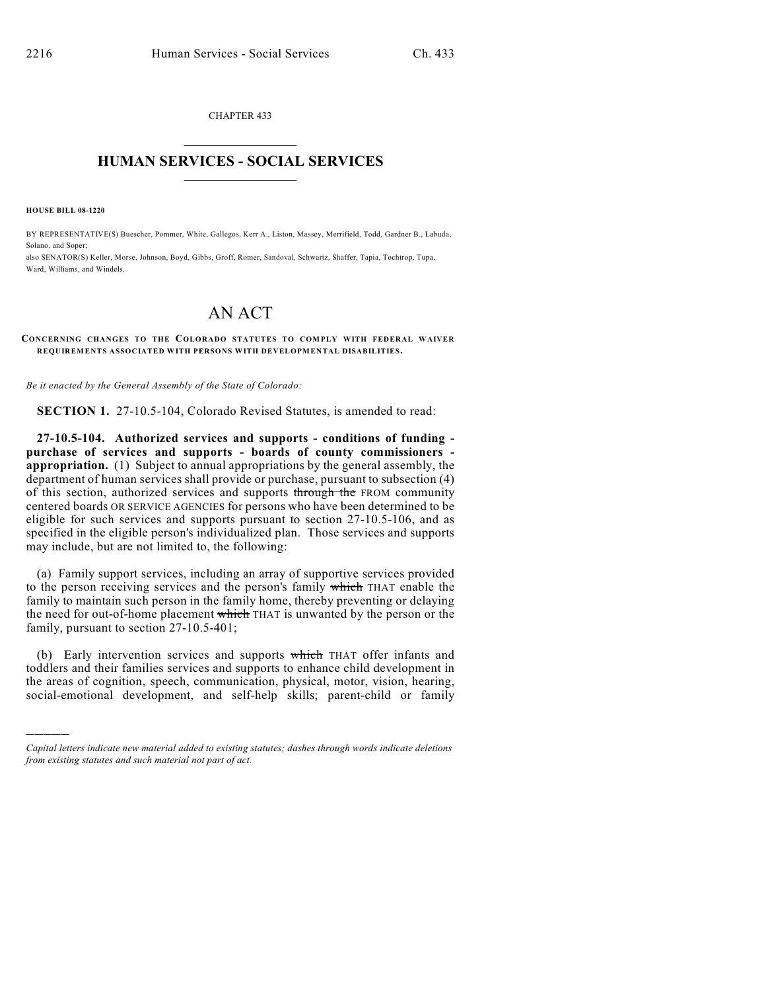CHAPTER 433  $\overline{\phantom{a}}$  . The set of the set of the set of the set of the set of the set of the set of the set of the set of the set of the set of the set of the set of the set of the set of the set of the set of the set of the set o

## **HUMAN SERVICES - SOCIAL SERVICES**  $\frac{1}{2}$  ,  $\frac{1}{2}$  ,  $\frac{1}{2}$  ,  $\frac{1}{2}$  ,  $\frac{1}{2}$  ,  $\frac{1}{2}$  ,  $\frac{1}{2}$

**HOUSE BILL 08-1220**

)))))

BY REPRESENTATIVE(S) Buescher, Pommer, White, Gallegos, Kerr A., Liston, Massey, Merrifield, Todd, Gardner B., Labuda, Solano, and Soper; also SENATOR(S) Keller, Morse, Johnson, Boyd, Gibbs, Groff, Romer, Sandoval, Schwartz, Shaffer, Tapia, Tochtrop, Tupa, Ward, Williams, and Windels.

## AN ACT

## **CONCERNING CHANGES TO THE COLORADO STATUTES TO COMPLY WITH FEDERAL WAIVER REQUIREMENTS ASSOCIATED WITH PERSONS WITH DEVELOPMENTAL DISABILITIES.**

*Be it enacted by the General Assembly of the State of Colorado:*

**SECTION 1.** 27-10.5-104, Colorado Revised Statutes, is amended to read:

**27-10.5-104. Authorized services and supports - conditions of funding purchase of services and supports - boards of county commissioners appropriation.** (1) Subject to annual appropriations by the general assembly, the department of human services shall provide or purchase, pursuant to subsection (4) of this section, authorized services and supports through the FROM community centered boards OR SERVICE AGENCIES for persons who have been determined to be eligible for such services and supports pursuant to section 27-10.5-106, and as specified in the eligible person's individualized plan. Those services and supports may include, but are not limited to, the following:

(a) Family support services, including an array of supportive services provided to the person receiving services and the person's family which THAT enable the family to maintain such person in the family home, thereby preventing or delaying the need for out-of-home placement which THAT is unwanted by the person or the family, pursuant to section 27-10.5-401;

(b) Early intervention services and supports which THAT offer infants and toddlers and their families services and supports to enhance child development in the areas of cognition, speech, communication, physical, motor, vision, hearing, social-emotional development, and self-help skills; parent-child or family

*Capital letters indicate new material added to existing statutes; dashes through words indicate deletions from existing statutes and such material not part of act.*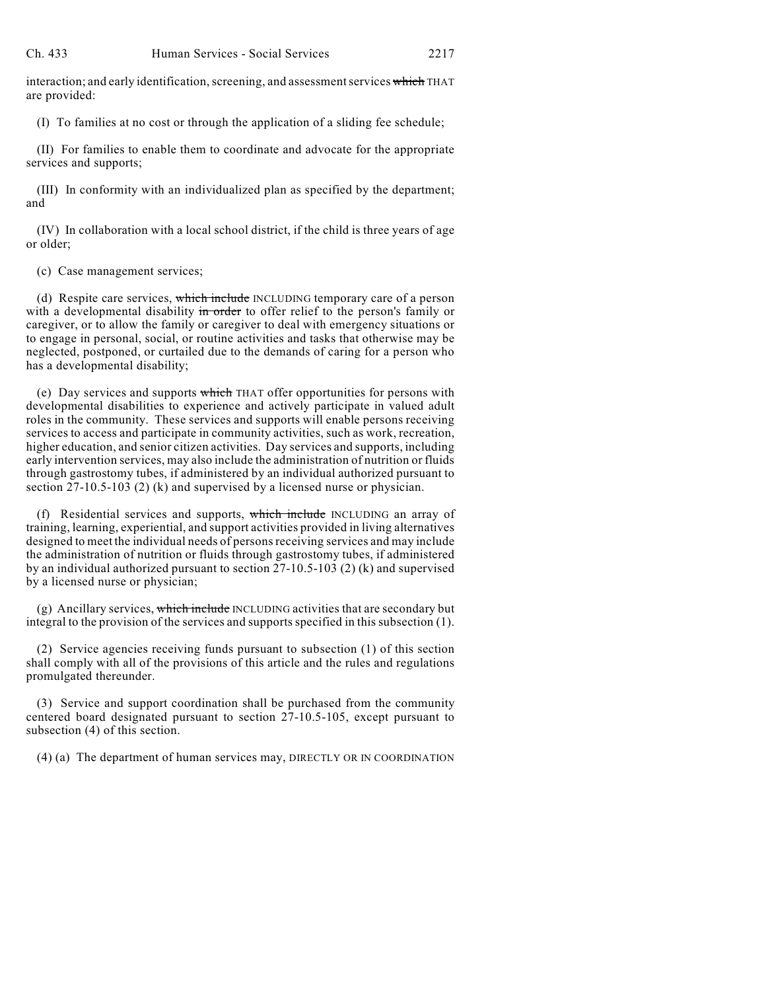interaction; and early identification, screening, and assessment services which THAT are provided:

(I) To families at no cost or through the application of a sliding fee schedule;

(II) For families to enable them to coordinate and advocate for the appropriate services and supports;

(III) In conformity with an individualized plan as specified by the department; and

(IV) In collaboration with a local school district, if the child is three years of age or older;

(c) Case management services;

(d) Respite care services, which include INCLUDING temporary care of a person with a developmental disability in order to offer relief to the person's family or caregiver, or to allow the family or caregiver to deal with emergency situations or to engage in personal, social, or routine activities and tasks that otherwise may be neglected, postponed, or curtailed due to the demands of caring for a person who has a developmental disability;

(e) Day services and supports which THAT offer opportunities for persons with developmental disabilities to experience and actively participate in valued adult roles in the community. These services and supports will enable persons receiving services to access and participate in community activities, such as work, recreation, higher education, and senior citizen activities. Day services and supports, including early intervention services, may also include the administration of nutrition or fluids through gastrostomy tubes, if administered by an individual authorized pursuant to section 27-10.5-103 (2) (k) and supervised by a licensed nurse or physician.

(f) Residential services and supports, which include INCLUDING an array of training, learning, experiential, and support activities provided in living alternatives designed to meet the individual needs of persons receiving services and may include the administration of nutrition or fluids through gastrostomy tubes, if administered by an individual authorized pursuant to section 27-10.5-103 (2) (k) and supervised by a licensed nurse or physician;

(g) Ancillary services, which include INCLUDING activities that are secondary but integral to the provision of the services and supports specified in this subsection (1).

(2) Service agencies receiving funds pursuant to subsection (1) of this section shall comply with all of the provisions of this article and the rules and regulations promulgated thereunder.

(3) Service and support coordination shall be purchased from the community centered board designated pursuant to section 27-10.5-105, except pursuant to subsection (4) of this section.

(4) (a) The department of human services may, DIRECTLY OR IN COORDINATION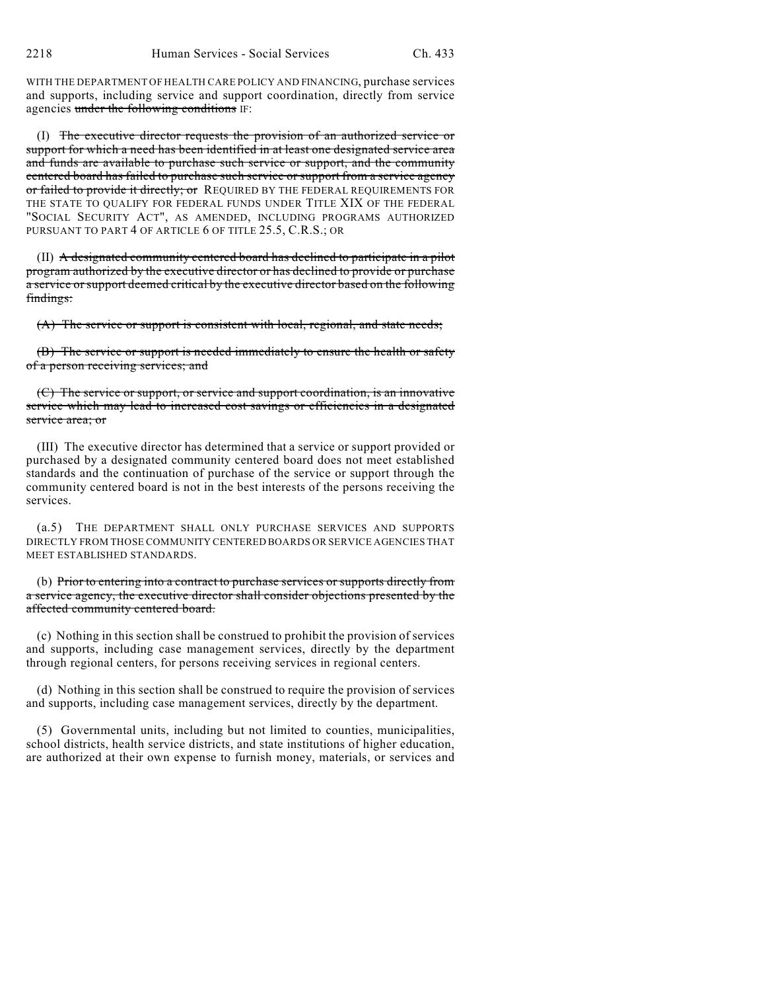2218 Human Services - Social Services Ch. 433

WITH THE DEPARTMENT OF HEALTH CARE POLICY AND FINANCING, purchase services and supports, including service and support coordination, directly from service agencies under the following conditions IF:

(I) The executive director requests the provision of an authorized service or support for which a need has been identified in at least one designated service area and funds are available to purchase such service or support, and the community centered board has failed to purchase such service or support from a service agency or failed to provide it directly; or REQUIRED BY THE FEDERAL REQUIREMENTS FOR THE STATE TO QUALIFY FOR FEDERAL FUNDS UNDER TITLE XIX OF THE FEDERAL "SOCIAL SECURITY ACT", AS AMENDED, INCLUDING PROGRAMS AUTHORIZED PURSUANT TO PART 4 OF ARTICLE 6 OF TITLE 25.5, C.R.S.; OR

(II) A designated community centered board has declined to participate in a pilot program authorized by the executive director or has declined to provide or purchase a service orsupport deemed critical by the executive director based on the following findings:

(A) The service or support is consistent with local, regional, and state needs;

(B) The service or support is needed immediately to ensure the health or safety of a person receiving services; and

(C) The service or support, or service and support coordination, is an innovative service which may lead to increased cost savings or efficiencies in a designated service area; or

(III) The executive director has determined that a service or support provided or purchased by a designated community centered board does not meet established standards and the continuation of purchase of the service or support through the community centered board is not in the best interests of the persons receiving the services.

(a.5) THE DEPARTMENT SHALL ONLY PURCHASE SERVICES AND SUPPORTS DIRECTLY FROM THOSE COMMUNITY CENTERED BOARDS OR SERVICE AGENCIES THAT MEET ESTABLISHED STANDARDS.

(b) Prior to entering into a contract to purchase services or supports directly from a service agency, the executive director shall consider objections presented by the affected community centered board.

(c) Nothing in this section shall be construed to prohibit the provision of services and supports, including case management services, directly by the department through regional centers, for persons receiving services in regional centers.

(d) Nothing in this section shall be construed to require the provision of services and supports, including case management services, directly by the department.

(5) Governmental units, including but not limited to counties, municipalities, school districts, health service districts, and state institutions of higher education, are authorized at their own expense to furnish money, materials, or services and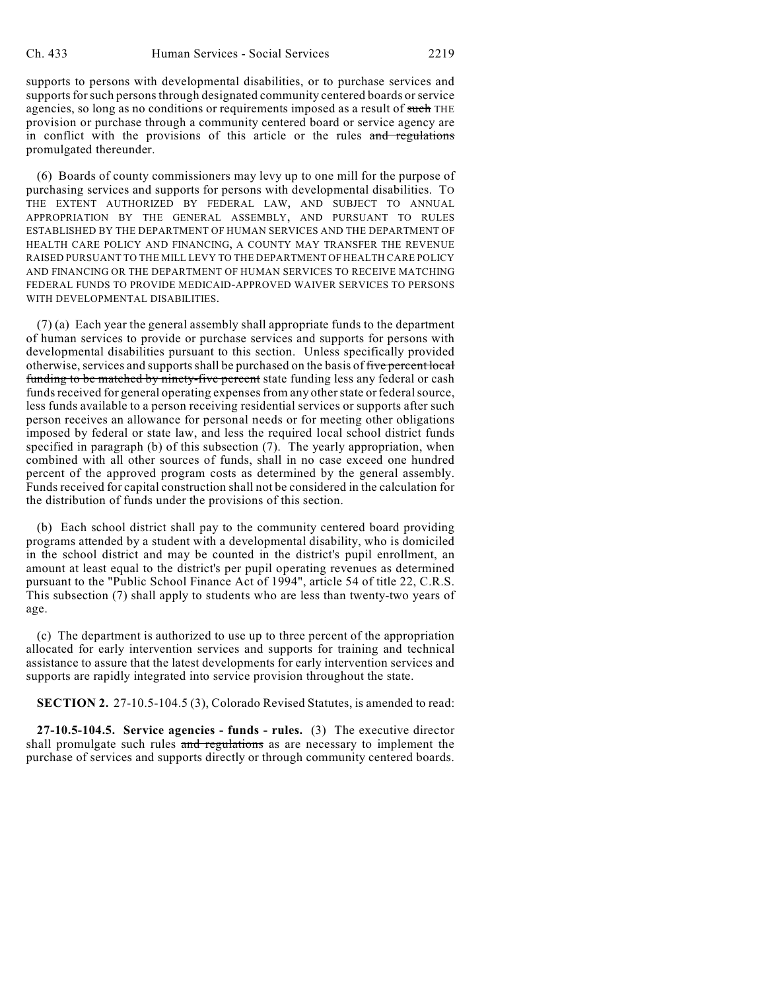supports to persons with developmental disabilities, or to purchase services and supports for such persons through designated community centered boards or service agencies, so long as no conditions or requirements imposed as a result of such THE provision or purchase through a community centered board or service agency are in conflict with the provisions of this article or the rules and regulations promulgated thereunder.

(6) Boards of county commissioners may levy up to one mill for the purpose of purchasing services and supports for persons with developmental disabilities. TO THE EXTENT AUTHORIZED BY FEDERAL LAW, AND SUBJECT TO ANNUAL APPROPRIATION BY THE GENERAL ASSEMBLY, AND PURSUANT TO RULES ESTABLISHED BY THE DEPARTMENT OF HUMAN SERVICES AND THE DEPARTMENT OF HEALTH CARE POLICY AND FINANCING, A COUNTY MAY TRANSFER THE REVENUE RAISED PURSUANT TO THE MILL LEVY TO THE DEPARTMENT OF HEALTH CARE POLICY AND FINANCING OR THE DEPARTMENT OF HUMAN SERVICES TO RECEIVE MATCHING FEDERAL FUNDS TO PROVIDE MEDICAID-APPROVED WAIVER SERVICES TO PERSONS WITH DEVELOPMENTAL DISABILITIES.

(7) (a) Each year the general assembly shall appropriate funds to the department of human services to provide or purchase services and supports for persons with developmental disabilities pursuant to this section. Unless specifically provided otherwise, services and supports shall be purchased on the basis of five percent local funding to be matched by ninety-five percent state funding less any federal or cash funds received for general operating expenses from any other state or federal source, less funds available to a person receiving residential services or supports after such person receives an allowance for personal needs or for meeting other obligations imposed by federal or state law, and less the required local school district funds specified in paragraph (b) of this subsection (7). The yearly appropriation, when combined with all other sources of funds, shall in no case exceed one hundred percent of the approved program costs as determined by the general assembly. Funds received for capital construction shall not be considered in the calculation for the distribution of funds under the provisions of this section.

(b) Each school district shall pay to the community centered board providing programs attended by a student with a developmental disability, who is domiciled in the school district and may be counted in the district's pupil enrollment, an amount at least equal to the district's per pupil operating revenues as determined pursuant to the "Public School Finance Act of 1994", article 54 of title 22, C.R.S. This subsection (7) shall apply to students who are less than twenty-two years of age.

(c) The department is authorized to use up to three percent of the appropriation allocated for early intervention services and supports for training and technical assistance to assure that the latest developments for early intervention services and supports are rapidly integrated into service provision throughout the state.

**SECTION 2.** 27-10.5-104.5 (3), Colorado Revised Statutes, is amended to read:

**27-10.5-104.5. Service agencies - funds - rules.** (3) The executive director shall promulgate such rules and regulations as are necessary to implement the purchase of services and supports directly or through community centered boards.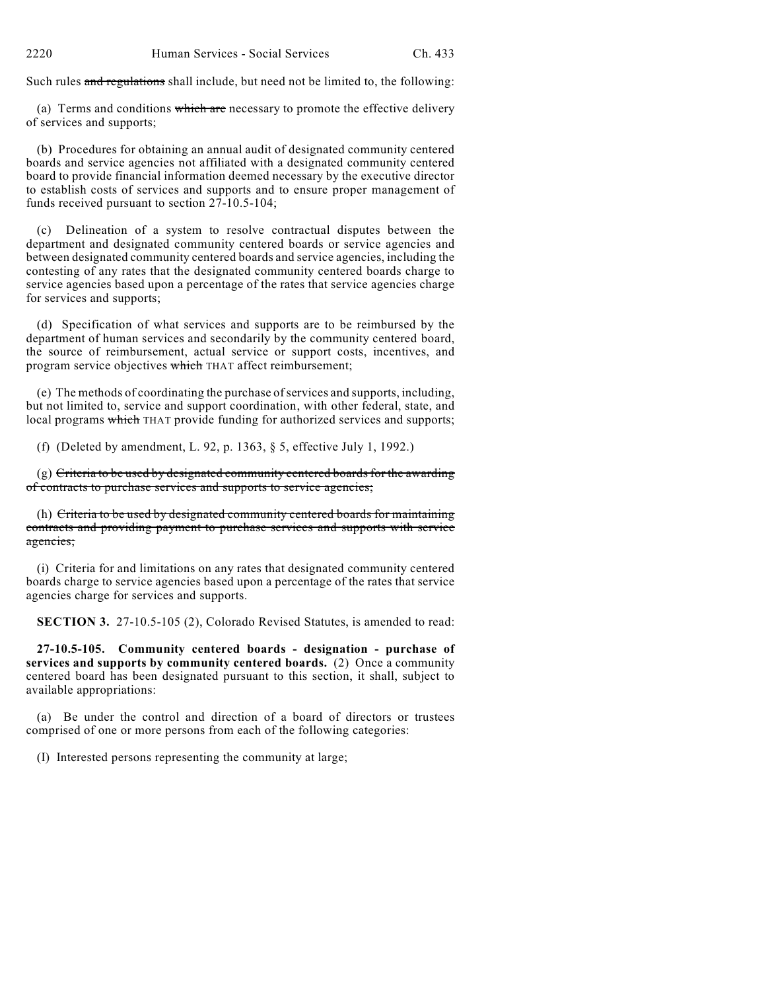Such rules and regulations shall include, but need not be limited to, the following:

(a) Terms and conditions which are necessary to promote the effective delivery of services and supports;

(b) Procedures for obtaining an annual audit of designated community centered boards and service agencies not affiliated with a designated community centered board to provide financial information deemed necessary by the executive director to establish costs of services and supports and to ensure proper management of funds received pursuant to section 27-10.5-104;

(c) Delineation of a system to resolve contractual disputes between the department and designated community centered boards or service agencies and between designated community centered boards and service agencies, including the contesting of any rates that the designated community centered boards charge to service agencies based upon a percentage of the rates that service agencies charge for services and supports;

(d) Specification of what services and supports are to be reimbursed by the department of human services and secondarily by the community centered board, the source of reimbursement, actual service or support costs, incentives, and program service objectives which THAT affect reimbursement;

(e) The methods of coordinating the purchase ofservices and supports, including, but not limited to, service and support coordination, with other federal, state, and local programs which THAT provide funding for authorized services and supports;

(f) (Deleted by amendment, L. 92, p. 1363, § 5, effective July 1, 1992.)

(g) Criteria to be used by designated community centered boards for the awarding of contracts to purchase services and supports to service agencies;

(h) Criteria to be used by designated community centered boards for maintaining contracts and providing payment to purchase services and supports with service agencies;

(i) Criteria for and limitations on any rates that designated community centered boards charge to service agencies based upon a percentage of the rates that service agencies charge for services and supports.

**SECTION 3.** 27-10.5-105 (2), Colorado Revised Statutes, is amended to read:

**27-10.5-105. Community centered boards - designation - purchase of services and supports by community centered boards.** (2) Once a community centered board has been designated pursuant to this section, it shall, subject to available appropriations:

(a) Be under the control and direction of a board of directors or trustees comprised of one or more persons from each of the following categories:

(I) Interested persons representing the community at large;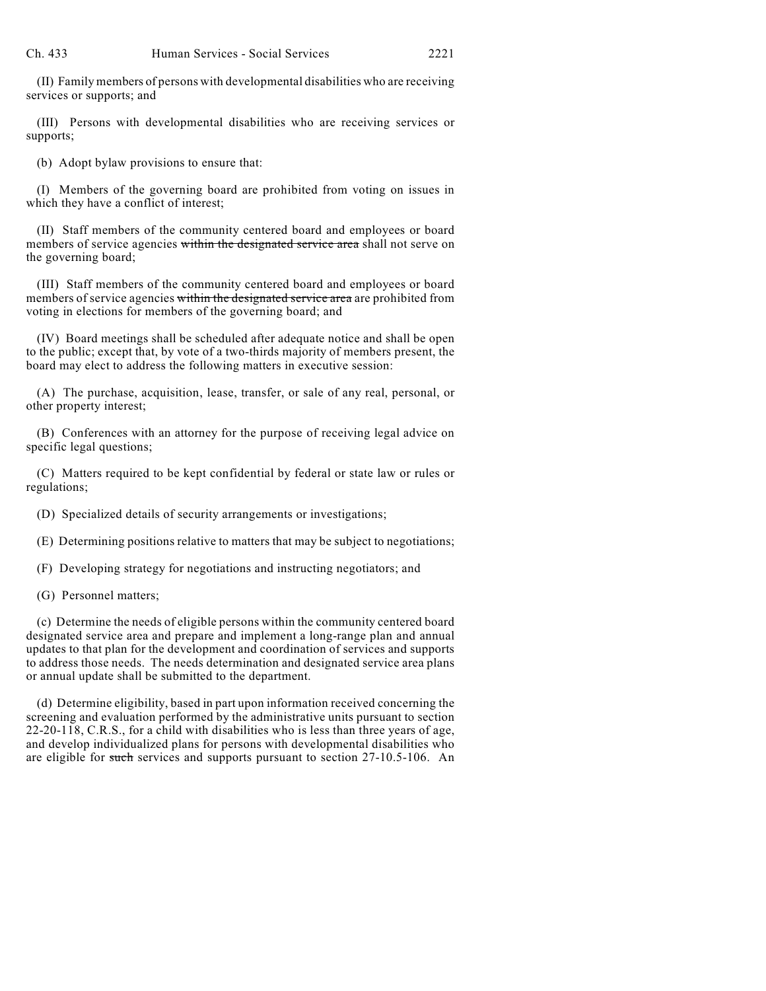(II) Family members of persons with developmental disabilities who are receiving services or supports; and

(III) Persons with developmental disabilities who are receiving services or supports;

(b) Adopt bylaw provisions to ensure that:

(I) Members of the governing board are prohibited from voting on issues in which they have a conflict of interest;

(II) Staff members of the community centered board and employees or board members of service agencies within the designated service area shall not serve on the governing board;

(III) Staff members of the community centered board and employees or board members of service agencies within the designated service area are prohibited from voting in elections for members of the governing board; and

(IV) Board meetings shall be scheduled after adequate notice and shall be open to the public; except that, by vote of a two-thirds majority of members present, the board may elect to address the following matters in executive session:

(A) The purchase, acquisition, lease, transfer, or sale of any real, personal, or other property interest;

(B) Conferences with an attorney for the purpose of receiving legal advice on specific legal questions;

(C) Matters required to be kept confidential by federal or state law or rules or regulations;

(D) Specialized details of security arrangements or investigations;

(E) Determining positions relative to matters that may be subject to negotiations;

(F) Developing strategy for negotiations and instructing negotiators; and

(G) Personnel matters;

(c) Determine the needs of eligible persons within the community centered board designated service area and prepare and implement a long-range plan and annual updates to that plan for the development and coordination of services and supports to address those needs. The needs determination and designated service area plans or annual update shall be submitted to the department.

(d) Determine eligibility, based in part upon information received concerning the screening and evaluation performed by the administrative units pursuant to section 22-20-118, C.R.S., for a child with disabilities who is less than three years of age, and develop individualized plans for persons with developmental disabilities who are eligible for such services and supports pursuant to section 27-10.5-106. An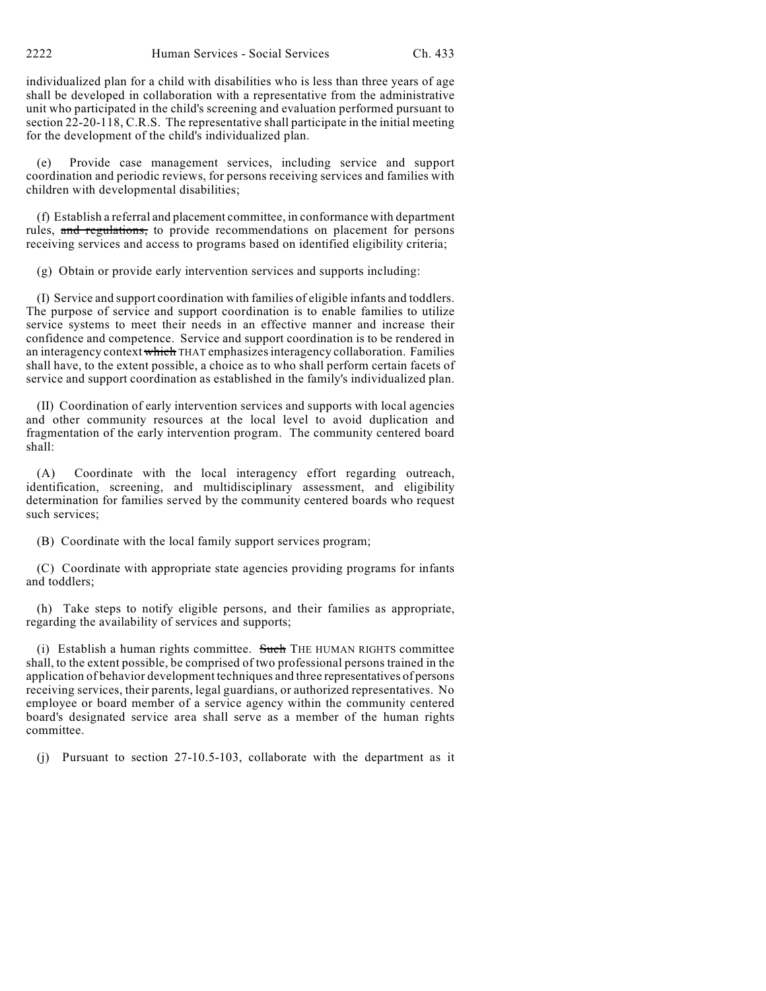2222 Human Services - Social Services Ch. 433

individualized plan for a child with disabilities who is less than three years of age shall be developed in collaboration with a representative from the administrative unit who participated in the child's screening and evaluation performed pursuant to section 22-20-118, C.R.S. The representative shall participate in the initial meeting for the development of the child's individualized plan.

(e) Provide case management services, including service and support coordination and periodic reviews, for persons receiving services and families with children with developmental disabilities;

(f) Establish a referral and placement committee, in conformance with department rules, and regulations, to provide recommendations on placement for persons receiving services and access to programs based on identified eligibility criteria;

(g) Obtain or provide early intervention services and supports including:

(I) Service and support coordination with families of eligible infants and toddlers. The purpose of service and support coordination is to enable families to utilize service systems to meet their needs in an effective manner and increase their confidence and competence. Service and support coordination is to be rendered in an interagency context which THAT emphasizes interagency collaboration. Families shall have, to the extent possible, a choice as to who shall perform certain facets of service and support coordination as established in the family's individualized plan.

(II) Coordination of early intervention services and supports with local agencies and other community resources at the local level to avoid duplication and fragmentation of the early intervention program. The community centered board shall:

(A) Coordinate with the local interagency effort regarding outreach, identification, screening, and multidisciplinary assessment, and eligibility determination for families served by the community centered boards who request such services;

(B) Coordinate with the local family support services program;

(C) Coordinate with appropriate state agencies providing programs for infants and toddlers;

(h) Take steps to notify eligible persons, and their families as appropriate, regarding the availability of services and supports;

(i) Establish a human rights committee. Such THE HUMAN RIGHTS committee shall, to the extent possible, be comprised of two professional persons trained in the application of behavior development techniques and three representatives of persons receiving services, their parents, legal guardians, or authorized representatives. No employee or board member of a service agency within the community centered board's designated service area shall serve as a member of the human rights committee.

(j) Pursuant to section 27-10.5-103, collaborate with the department as it